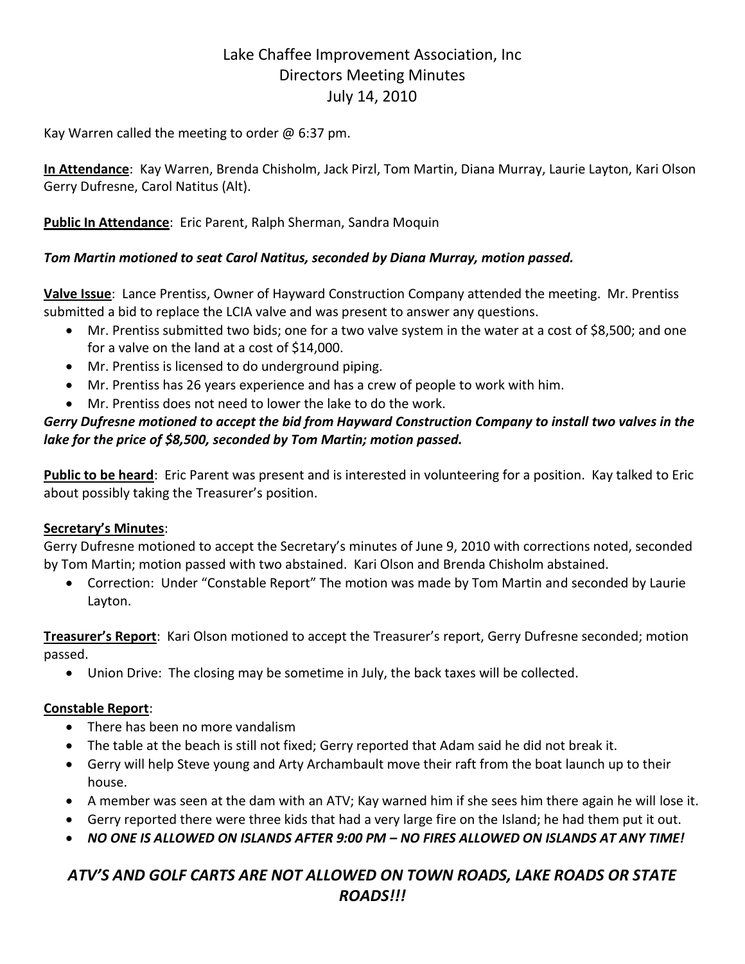# Lake Chaffee Improvement Association, Inc Directors Meeting Minutes July 14, 2010

Kay Warren called the meeting to order  $@$  6:37 pm.

**In Attendance**: Kay Warren, Brenda Chisholm, Jack Pirzl, Tom Martin, Diana Murray, Laurie Layton, Kari Olson Gerry Dufresne, Carol Natitus (Alt).

**Public In Attendance**: Eric Parent, Ralph Sherman, Sandra Moquin

# *Tom Martin motioned to seat Carol Natitus, seconded by Diana Murray, motion passed.*

**Valve Issue**: Lance Prentiss, Owner of Hayward Construction Company attended the meeting. Mr. Prentiss submitted a bid to replace the LCIA valve and was present to answer any questions.

- Mr. Prentiss submitted two bids; one for a two valve system in the water at a cost of \$8,500; and one for a valve on the land at a cost of \$14,000.
- Mr. Prentiss is licensed to do underground piping.
- Mr. Prentiss has 26 years experience and has a crew of people to work with him.
- Mr. Prentiss does not need to lower the lake to do the work.

# *Gerry Dufresne motioned to accept the bid from Hayward Construction Company to install two valves in the lake for the price of \$8,500, seconded by Tom Martin; motion passed.*

**Public to be heard**: Eric Parent was present and is interested in volunteering for a position. Kay talked to Eric about possibly taking the Treasurer's position.

# **Secretary's Minutes**:

Gerry Dufresne motioned to accept the Secretary's minutes of June 9, 2010 with corrections noted, seconded by Tom Martin; motion passed with two abstained. Kari Olson and Brenda Chisholm abstained.

 Correction: Under "Constable Report" The motion was made by Tom Martin and seconded by Laurie Layton.

**Treasurer's Report**: Kari Olson motioned to accept the Treasurer's report, Gerry Dufresne seconded; motion passed.

Union Drive: The closing may be sometime in July, the back taxes will be collected.

# **Constable Report**:

- There has been no more vandalism
- The table at the beach is still not fixed; Gerry reported that Adam said he did not break it.
- Gerry will help Steve young and Arty Archambault move their raft from the boat launch up to their house.
- A member was seen at the dam with an ATV; Kay warned him if she sees him there again he will lose it.
- Gerry reported there were three kids that had a very large fire on the Island; he had them put it out.
- *NO ONE IS ALLOWED ON ISLANDS AFTER 9:00 PM – NO FIRES ALLOWED ON ISLANDS AT ANY TIME!*

# *ATV'S AND GOLF CARTS ARE NOT ALLOWED ON TOWN ROADS, LAKE ROADS OR STATE ROADS!!!*